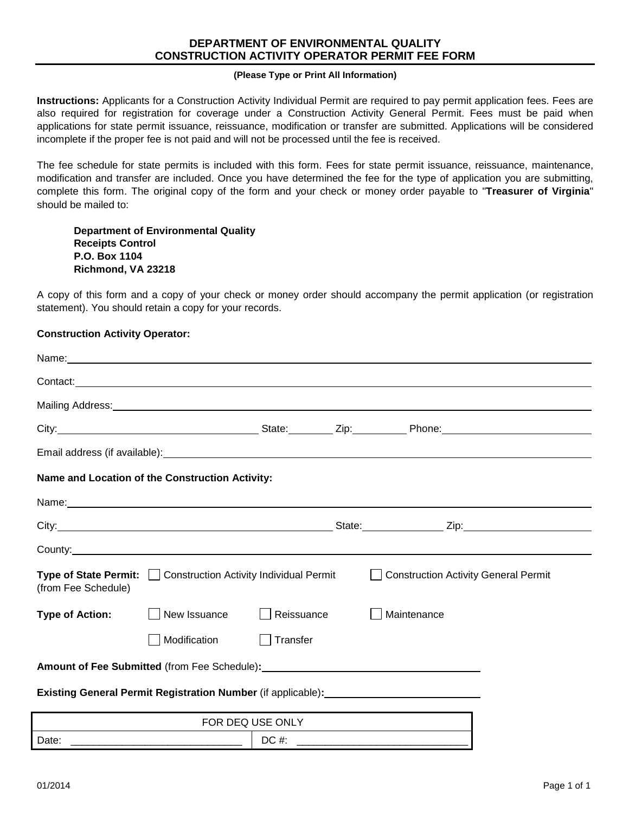## **DEPARTMENT OF ENVIRONMENTAL QUALITY CONSTRUCTION ACTIVITY OPERATOR PERMIT FEE FORM**

## **(Please Type or Print All Information)**

**Instructions:** Applicants for a Construction Activity Individual Permit are required to pay permit application fees. Fees are also required for registration for coverage under a Construction Activity General Permit. Fees must be paid when applications for state permit issuance, reissuance, modification or transfer are submitted. Applications will be considered incomplete if the proper fee is not paid and will not be processed until the fee is received.

The fee schedule for state permits is included with this form. Fees for state permit issuance, reissuance, maintenance, modification and transfer are included. Once you have determined the fee for the type of application you are submitting, complete this form. The original copy of the form and your check or money order payable to "**Treasurer of Virginia**" should be mailed to:

**Department of Environmental Quality Receipts Control P.O. Box 1104 Richmond, VA 23218**

A copy of this form and a copy of your check or money order should accompany the permit application (or registration statement). You should retain a copy for your records.

## **Construction Activity Operator:**

|                        | Name: Name: Name: Name: Name: Name: Name: Name: Name: Name: Name: Name: Name: Name: Name: Name: Name: Name: Name: Name: Name: Name: Name: Name: Name: Name: Name: Name: Name: Name: Name: Name: Name: Name: Name: Name: Name: |                  |                                                                                                                                                                                                                                |
|------------------------|-------------------------------------------------------------------------------------------------------------------------------------------------------------------------------------------------------------------------------|------------------|--------------------------------------------------------------------------------------------------------------------------------------------------------------------------------------------------------------------------------|
|                        |                                                                                                                                                                                                                               |                  | Contact: experience and the contract of the contract of the contract of the contract of the contract of the contract of the contract of the contract of the contract of the contract of the contract of the contract of the co |
|                        |                                                                                                                                                                                                                               |                  | Mailing Address: National Address: National Address: National Address: National Address: National Address: National Address: National Address: National Address: National Address: National Address: National Address: Nationa |
|                        |                                                                                                                                                                                                                               |                  |                                                                                                                                                                                                                                |
|                        |                                                                                                                                                                                                                               |                  | Email address (if available): example and a series of the series of the series of the series of the series of the series of the series of the series of the series of the series of the series of the series of the series of  |
|                        | Name and Location of the Construction Activity:                                                                                                                                                                               |                  |                                                                                                                                                                                                                                |
|                        | Name: Name: Name: Name: Name: Name: Name: Name: Name: Name: Name: Name: Name: Name: Name: Name: Name: Name: Name: Name: Name: Name: Name: Name: Name: Name: Name: Name: Name: Name: Name: Name: Name: Name: Name: Name: Name: |                  |                                                                                                                                                                                                                                |
|                        |                                                                                                                                                                                                                               |                  |                                                                                                                                                                                                                                |
|                        |                                                                                                                                                                                                                               |                  |                                                                                                                                                                                                                                |
| (from Fee Schedule)    | <b>Type of State Permit:</b>   Construction Activity Individual Permit                                                                                                                                                        |                  | <b>Construction Activity General Permit</b>                                                                                                                                                                                    |
| <b>Type of Action:</b> | New Issuance                                                                                                                                                                                                                  | Reissuance       | Maintenance                                                                                                                                                                                                                    |
|                        | Modification                                                                                                                                                                                                                  | Transfer         |                                                                                                                                                                                                                                |
|                        |                                                                                                                                                                                                                               |                  | Amount of Fee Submitted (from Fee Schedule): ___________________________________                                                                                                                                               |
|                        |                                                                                                                                                                                                                               |                  | Existing General Permit Registration Number (if applicable): ___________________                                                                                                                                               |
|                        |                                                                                                                                                                                                                               | FOR DEQ USE ONLY |                                                                                                                                                                                                                                |
| Date:                  |                                                                                                                                                                                                                               | $DC \#$ :        |                                                                                                                                                                                                                                |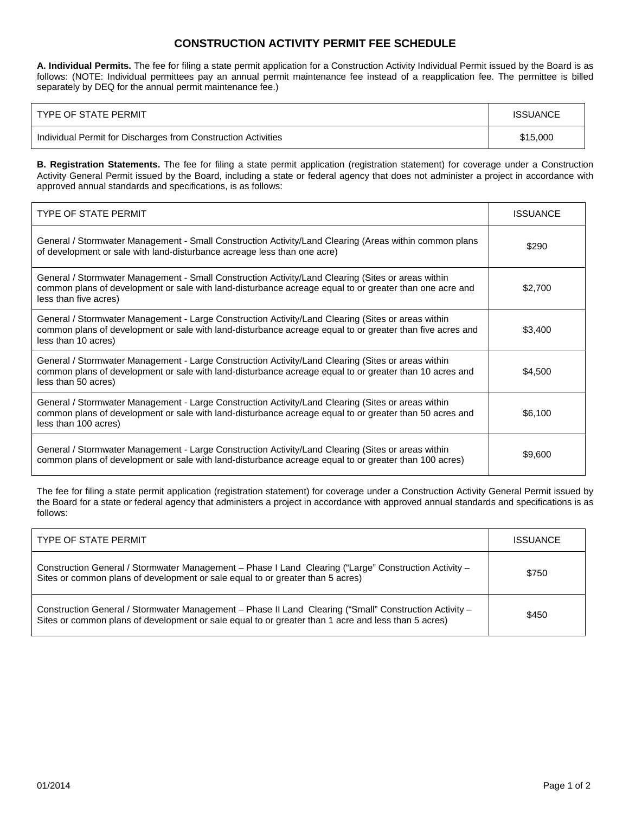## **CONSTRUCTION ACTIVITY PERMIT FEE SCHEDULE**

**A. Individual Permits.** The fee for filing a state permit application for a Construction Activity Individual Permit issued by the Board is as follows: (NOTE: Individual permittees pay an annual permit maintenance fee instead of a reapplication fee. The permittee is billed separately by DEQ for the annual permit maintenance fee.)

| TYPE OF STATE PERMIT                                          | <b>ISSUANCE</b> |
|---------------------------------------------------------------|-----------------|
| Individual Permit for Discharges from Construction Activities | \$15,000        |

**B. Registration Statements.** The fee for filing a state permit application (registration statement) for coverage under a Construction Activity General Permit issued by the Board, including a state or federal agency that does not administer a project in accordance with approved annual standards and specifications, is as follows:

| TYPE OF STATE PERMIT                                                                                                                                                                                                                   | <b>ISSUANCE</b> |
|----------------------------------------------------------------------------------------------------------------------------------------------------------------------------------------------------------------------------------------|-----------------|
| General / Stormwater Management - Small Construction Activity/Land Clearing (Areas within common plans<br>of development or sale with land-disturbance acreage less than one acre)                                                     | \$290           |
| General / Stormwater Management - Small Construction Activity/Land Clearing (Sites or areas within<br>common plans of development or sale with land-disturbance acreage equal to or greater than one acre and<br>less than five acres) | \$2,700         |
| General / Stormwater Management - Large Construction Activity/Land Clearing (Sites or areas within<br>common plans of development or sale with land-disturbance acreage equal to or greater than five acres and<br>less than 10 acres) | \$3,400         |
| General / Stormwater Management - Large Construction Activity/Land Clearing (Sites or areas within<br>common plans of development or sale with land-disturbance acreage equal to or greater than 10 acres and<br>less than 50 acres)   | \$4,500         |
| General / Stormwater Management - Large Construction Activity/Land Clearing (Sites or areas within<br>common plans of development or sale with land-disturbance acreage equal to or greater than 50 acres and<br>less than 100 acres)  | \$6,100         |
| General / Stormwater Management - Large Construction Activity/Land Clearing (Sites or areas within<br>common plans of development or sale with land-disturbance acreage equal to or greater than 100 acres)                            | \$9,600         |

The fee for filing a state permit application (registration statement) for coverage under a Construction Activity General Permit issued by the Board for a state or federal agency that administers a project in accordance with approved annual standards and specifications is as follows:

| <b>TYPE OF STATE PERMIT</b>                                                                                                                                                                                   | <b>ISSUANCE</b> |
|---------------------------------------------------------------------------------------------------------------------------------------------------------------------------------------------------------------|-----------------|
| Construction General / Stormwater Management - Phase I Land Clearing ("Large" Construction Activity -<br>Sites or common plans of development or sale equal to or greater than 5 acres)                       | \$750           |
| Construction General / Stormwater Management - Phase II Land Clearing ("Small" Construction Activity -<br>Sites or common plans of development or sale equal to or greater than 1 acre and less than 5 acres) | \$450           |